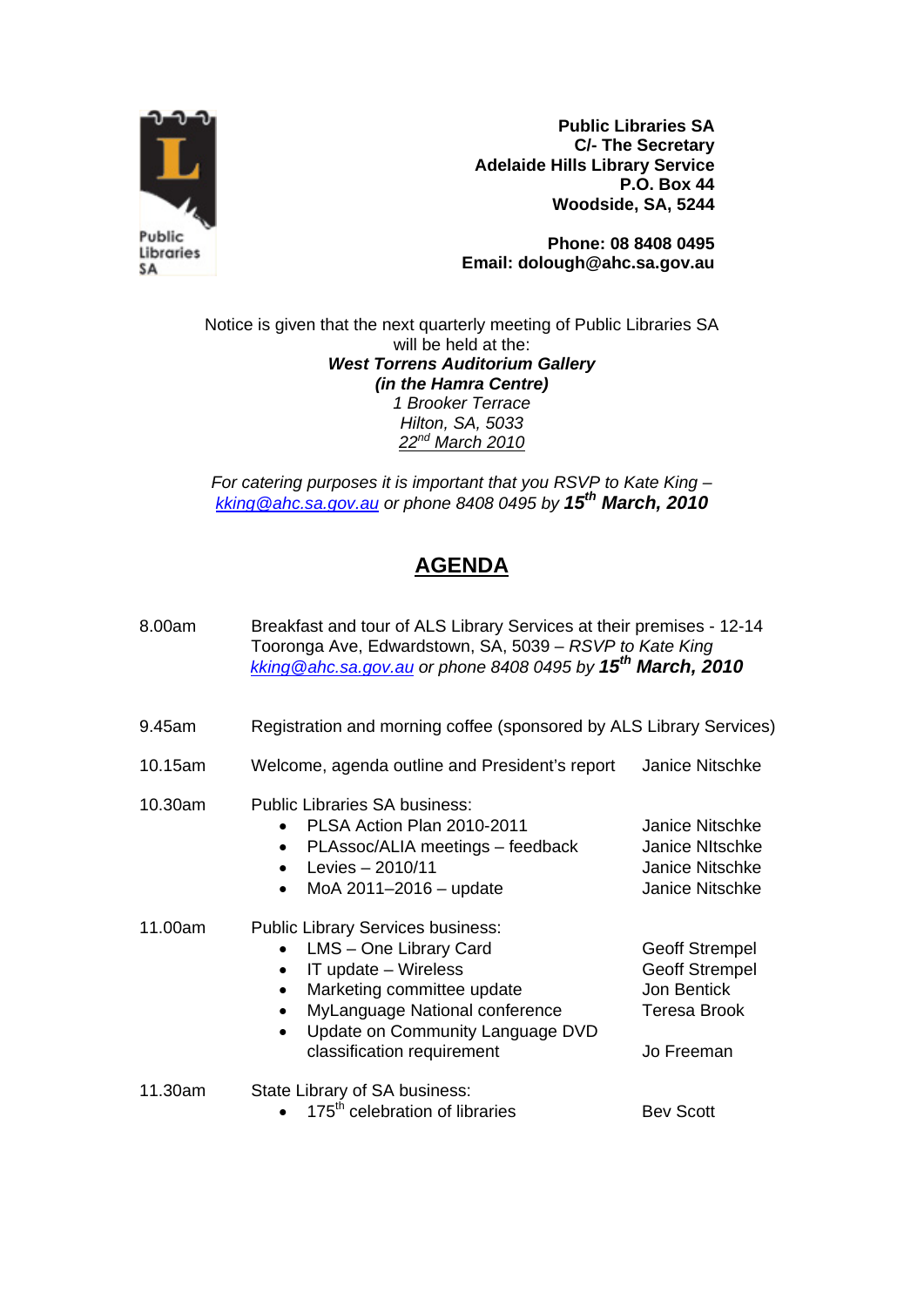

**Public Libraries SA C/- The Secretary Adelaide Hills Library Service P.O. Box 44 Woodside, SA, 5244** 

**Phone: 08 8408 0495 Email: dolough@ahc.sa.gov.au** 

Notice is given that the next quarterly meeting of Public Libraries SA will be held at the: *West Torrens Auditorium Gallery (in the Hamra Centre) 1 Brooker Terrace Hilton, SA, 5033 22nd March 2010*

*For catering purposes it is important that you RSVP to Kate King – kking@ahc.sa.gov.au or phone 8408 0495 by 15th March, 2010*

## **AGENDA**

| 8.00am  | Breakfast and tour of ALS Library Services at their premises - 12-14<br>Tooronga Ave, Edwardstown, SA, 5039 - RSVP to Kate King<br>kking @ahc.sa.gov.au or phone 8408 0495 by 15 <sup>th</sup> March, 2010                   |                                                                                             |
|---------|------------------------------------------------------------------------------------------------------------------------------------------------------------------------------------------------------------------------------|---------------------------------------------------------------------------------------------|
| 9.45am  | Registration and morning coffee (sponsored by ALS Library Services)                                                                                                                                                          |                                                                                             |
| 10.15am | Welcome, agenda outline and President's report                                                                                                                                                                               | Janice Nitschke                                                                             |
| 10.30am | <b>Public Libraries SA business:</b><br>PLSA Action Plan 2010-2011<br>PLAssoc/ALIA meetings - feedback<br>$\bullet$<br>Levies $-2010/11$<br>MoA $2011 - 2016 -$ update                                                       | Janice Nitschke<br>Janice NItschke<br><b>Janice Nitschke</b><br>Janice Nitschke             |
| 11.00am | <b>Public Library Services business:</b><br>LMS - One Library Card<br>IT update - Wireless<br>Marketing committee update<br>MyLanguage National conference<br>Update on Community Language DVD<br>classification requirement | <b>Geoff Strempel</b><br><b>Geoff Strempel</b><br>Jon Bentick<br>Teresa Brook<br>Jo Freeman |
| 11.30am | State Library of SA business:<br>175 <sup>th</sup> celebration of libraries                                                                                                                                                  | <b>Bev Scott</b>                                                                            |